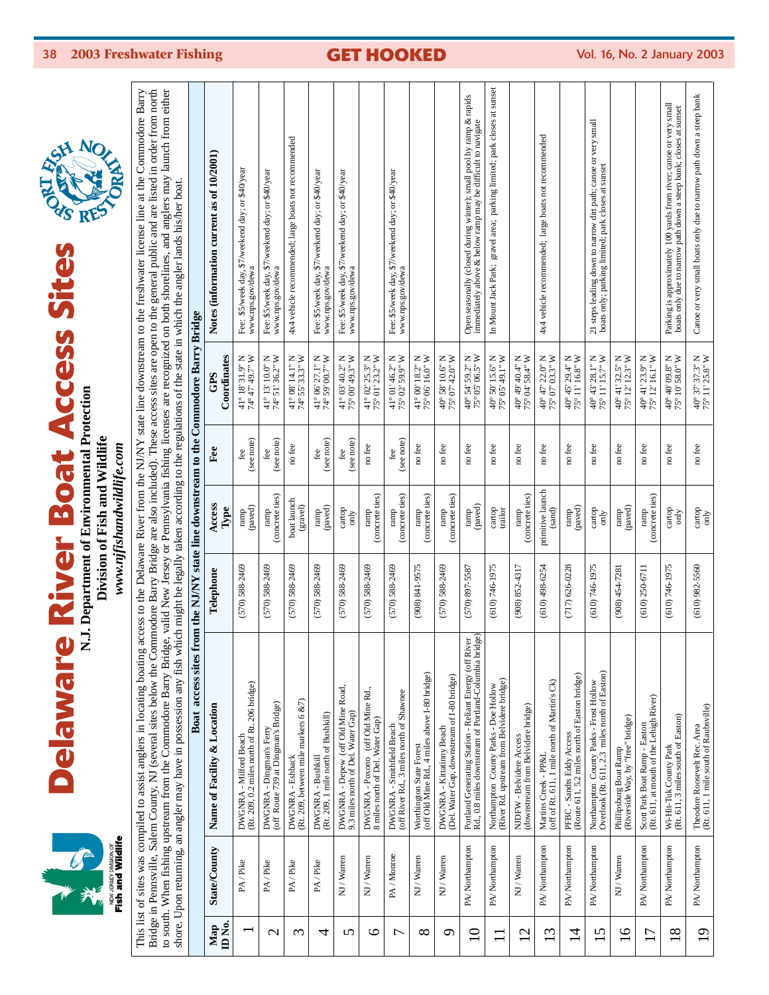

# **Delaware River Boat Access Sites Delaware River Boat Access Sites** N.J. Department of Environmental Protection



**N.J. Department of Environmental Protection** Division of Fish and Wildlife **Division of Fish and Wildlife**

www.njfishandwildlife.com *www.njfishandwildlife.com* This list of sites was compiled to assist anglers in locating boating access to the Delaware River from the NJ/NY state line downstream to the freshwater license line at the Commodore Barry<br>Bridge in Pennsville, Salem Coun This list of sites was compiled to assist anglers in locating boating access to the Delaware River from the NJ/NY state line downstream to the freshwater license line at the Commodore Barry Bridge in Pennsville, Salem County, NJ (several sites below the Commodore Barry Bridge are also included). These access sites are open to the general public and are listed in order from north to south. When fishing upstream from the Commodore Barry Bridge, valid New Jersey or Pennsylvania fishing licenses are recognized on both shorelines, and anglers may launch from either shore. Upon returning, an angler may have in possession any fish which might be legally taken according to the regulations of the state in which the angler lands his/her boat.

|                           |                | shore. Upon returning, an angler may have in possession any fish whi<br>Boat access sites fro                     |                      |                            |                   | om the NJ/NY state line downstream to the Commodore Barry Bridge            | ch might be legally taken according to the regulations of the state in which the angler lands his/her boat                              |
|---------------------------|----------------|-------------------------------------------------------------------------------------------------------------------|----------------------|----------------------------|-------------------|-----------------------------------------------------------------------------|-----------------------------------------------------------------------------------------------------------------------------------------|
| ID <sub>No</sub> .<br>Map | State/County   | Name of Facility & Location                                                                                       | Telephone            | Access<br>Type             | Fee               | Coordinates<br>GPS                                                          | Notes (information current as of 10/2001)                                                                                               |
|                           | PA/Pike        | DWGNRA - Milford Beach<br>(Rt. 209, 0.2 miles north of Rt. 206 bridge)                                            | $(570)$ 588-2469     | ramp<br>(paved)            | (see note)<br>fee | 41° 18' 31.9" N<br>W "C I & 19' 49.7" W                                     | Fee: \$5/week day, \$7/weekend day; or \$40/year<br>www.nps.gov/dewa                                                                    |
| $\mathbf{\sim}$           | PA/Pike        | (off Route 739 at Dingman's Bridge)<br>DWGNRA - Dingman's Ferr                                                    | $(570)$ 588-2469     | (concrete ties)<br>ramp    | (see note)<br>fee | 41° 13' 10.0" N<br>74° 51' 36.2" W                                          | Fee: \$5/week day, \$7/weekend day; or \$40/year<br>www.nps.gov/dewa                                                                    |
| $\mathfrak{c}$            | PA/Pike        | DWGNRA - Eshback<br>(Rt. 209, between mile markers 6 &7)                                                          | $(570) 588 - 2469$   | boat launch<br>(gravel)    | no fee            | 41° 08' 14.1" N<br>74° 55' 33.3" W                                          | 4x4 vehicle recommended; large boats not recommended                                                                                    |
| 4                         | PA/Pike        | (Rt. 209, 1 mile north of Bushkill)<br>DWGNRA - Bushkill                                                          | $(570)$ 588-2469     | ramp<br>(paved)            | (see note)<br>fee | 41° 06' 27.1" N<br>74° 59' 00.7" W                                          | Fee: \$5/week day, \$7/weekend day; or \$40/year<br>www.nps.gov/dewa                                                                    |
| S                         | NJ / Warren    | DWGNRA - Depew (off Old Mine Road,<br>9.3 miles north of Del. Water Gap)                                          | $(570)$ 588-2469     | cartop<br>only             | (see note)<br>fee | 41° 03' 40.2" N<br>75° 00' 49.3" W                                          | Fee: \$5/week day, \$7/weekend day; or \$40/year<br>www.nps.gov/dewa                                                                    |
| ৩                         | NJ/Warren      | DWGNRA - Poxono (off Old Mine Rd.,<br>8 miles north of Del. Water Gap)                                            | $(570)$ $588 - 2469$ | (concrete ties)<br>ramp    | no fee            | 41° 02' 25.3" N<br>75° 01' 23.2" W                                          |                                                                                                                                         |
| $\overline{ }$            | PA/Monroe      | (off River Rd., 3 miles north of Shawnee<br>DWGNRA - Smithfield Beach                                             | $(570)$ $588 - 2469$ | ramp<br>(concrete ties)    | (see note)<br>fee | 41° 01' 46.2" N<br>75° 02' 59.9" W                                          | Fee: \$5/week day, \$7/weekend day; or \$40/year<br>www.nps.gov/dewa                                                                    |
| $\infty$                  | NJ / Warren    | Worthington State Forest<br>(off Old Mine Rd., 4 miles above I-80 bridge)                                         | (908) 841-9575       | ramp<br>(concrete ties)    | no fee            | $41^{\circ}$ 00' 18.2" N<br>75° 06' 16.0" W                                 |                                                                                                                                         |
| ⌒                         | NJ / Warren    | DWGNRA - Kittatinny Beach<br>(Del. Water Cap, downstream of I-80 bridge)                                          | $(570)$ 588-2469     | ramp<br>(concrete ties)    | no fee            | 40° 58' 10.6" N<br>75° 07' 42.0" W                                          |                                                                                                                                         |
| $\Xi$                     | PA/Northampton | Portland Generating Station - Reliant Energy (off River<br>Rd., 0.8 miles downstream of Portland-Columbia bridge) | $(570)$ 897-5587     | ramp<br>(paved)            | no fee            | 40° 54' 59.2" N<br>75° 05' 06.5" W                                          | Open seasonally (closed during winter); small pool by ramp & rapids<br>immediately above & below ramp may be difficult to navigate      |
| $\Box$                    | PA/Northampton | Northampton County Parks - Doe Hollow<br>(River Rd. upstream from Belvidere bridge)                               | (610) 746-1975       | cartop<br>trailor          | no fee            | $40^{\circ}$ 50' 15.6" N<br>75° 05' 49.1" W                                 | In Mount Jack Park; gravel area; parking limited; park closes at sunset                                                                 |
| $\overline{2}$            | NJ / Warren    | (downstream from Belvidere bridge)<br>NJDFW - Belvidere Access                                                    | $(908) 852 - 4317$   | (concrete ties)<br>ramp    | no fee            | 40° 49' 40.4" N<br>75° 04' 58.4" W                                          |                                                                                                                                         |
| $\omega$                  | PA/Northampton | (off of Rt. 611, 1 mile north of Martin's Ck)<br>Martins Creek - PP&L                                             | $(610)$ 498-6254     | primitive launch<br>(sand) | no fee            | 40° 47' 22.0" N<br>75° 07' 03.3" W                                          | 4x4 vehicle recommended; large boats not recommended                                                                                    |
| $\overline{4}$            | PA/Northampton | (Route 611, 5.2 miles north of Easton bridge)<br>PFBC - Sandts Eddy Access                                        | $(717)626 - 0228$    | ramp<br>(paved)            | no fee            | $40^{\circ}$ 45' 29.4" N<br>75° 11' 16.8" W                                 |                                                                                                                                         |
| 15                        | PA/Northampton | Northampton County Parks - Frost Hollow<br>Overlook (Rt. 611, 2.3 miles north of Easton)                          | (610) 746-1975       | cartop<br>only             | no fee            | $40^{\circ}$ 43' 28.1" N<br>75° 11' 15.7" W                                 | 21 steps leading down to narrow dirt path; canoe or very small<br>boats only; parking limited; park closes at sunset                    |
| $\overline{16}$           | NJ / Warren    | Phillipsburg Boat Ramp<br>(Riverside Way, by "free" bridge)                                                       | $(908) 454 - 7281$   | ramp<br>(paved)            | no fee            | 40° 41' 32.5" N<br>75° 12' 12.3" W                                          |                                                                                                                                         |
| 17                        | PA/Northampton | Scott Park Boat Ramp - Easton<br>(Rt. 611, at mouth of the Lehigh River)                                          | $(610)$ 250-6711     | ramp<br>(concrete ties)    | no fee            | 40° 41' 23.9" N<br>75° 12' 16.1" W                                          |                                                                                                                                         |
| $\frac{8}{18}$            | PA/Northampton | (Rt. 611, 3 miles south of Easton)<br>Wi-Hit-Tuk County Park                                                      | (610) 746-1975       | $\frac{1}{2}$              | no fee            | $40^{\circ}$ $40^{\circ}$ $99.8^{\circ}$ N $75^{\circ}$ 10 $58.0^{\circ}$ W | Parking is approximately 100 yards from river; canoe or very small<br>boats only due to narrow path down a steep bank; closes at sunset |
| $\overline{19}$           | PA/Northampton | Theodore Roosevelt Rec. Area<br>(Rt. 611, 1 mile south of Raubsville)                                             | $(610)$ 982-5560     | $\frac{1}{2}$              | no fee            | $40^{\circ}$ 37' 37.3" N<br>75° 11' 25.8" W                                 | Canoe or very small boats only due to narrow path down a steep bank                                                                     |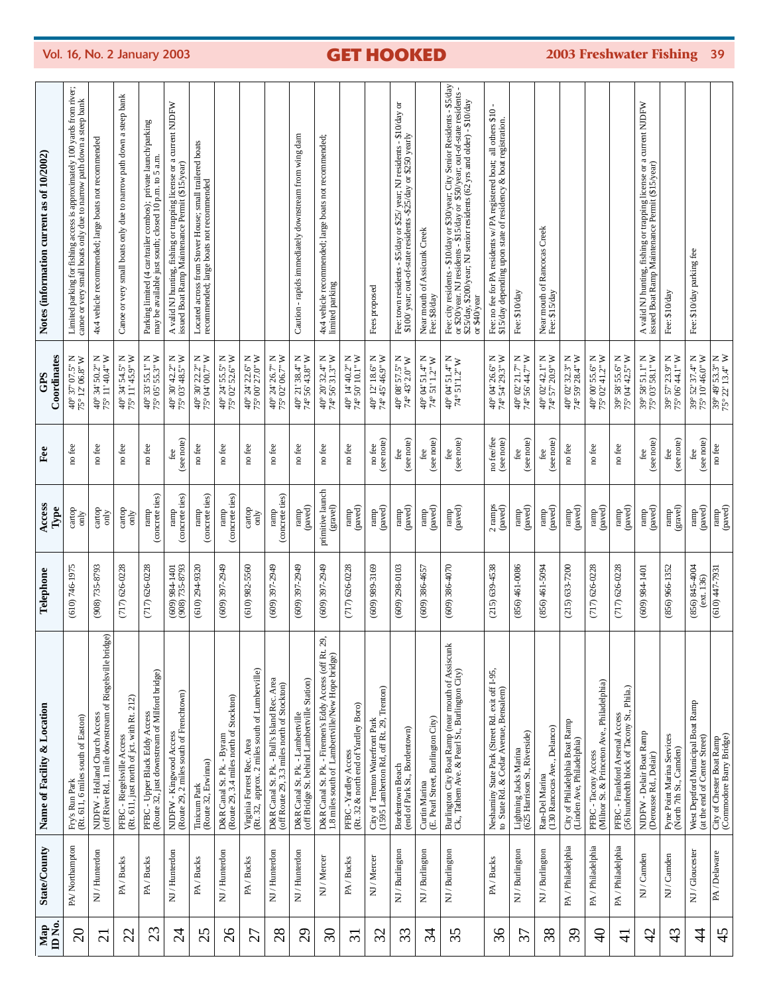| ID <sub>No</sub><br>Map | <b>State/County</b> | Name of Facility & Location                                                                                   | Telephone                        | Access<br>Type                                             | Fee                      | Coordinates<br>GPS                                                                                                   | Notes (information current as of 10/2002)                                                                                                                                                                                                                |
|-------------------------|---------------------|---------------------------------------------------------------------------------------------------------------|----------------------------------|------------------------------------------------------------|--------------------------|----------------------------------------------------------------------------------------------------------------------|----------------------------------------------------------------------------------------------------------------------------------------------------------------------------------------------------------------------------------------------------------|
| $\overline{20}$         | PA/Northampton      | Fry's Run Park<br>(Rt. 611, 6 miles south of Easton)                                                          | $(610)$ 746-1975                 | cartop<br>only                                             | no fee                   | $40^{\circ}$ $37^{\circ}$ $07.5^{\circ}$ N $75^{\circ}$ $12^{\circ}$ $06.8^{\circ}$ W                                | Limited parking for fishing access is approximately 100 yards from river;<br>cance or very small boats only due to narrow path down a steep bank                                                                                                         |
| $\overline{c}$          | NJ / Hunterdon      | NJDFW - Holland Church Access<br>(off River Rd., 1 mile downstream of Riegelsville bridge)                    | $(908)$ 735-8793                 | cartop<br>only                                             | no fee                   | 40° 34' 50.2" N<br>75° 11' 40.4" W                                                                                   | 4x4 vehicle recommended; large boats not recommended                                                                                                                                                                                                     |
| 22                      | PA/Bucks            | (Rt. 611, just north of jct. with Rt. 212)<br>PFBC - Riegelsville Access                                      | $(717)626 - 0228$                | cartop<br>ð                                                | no fee                   | 40° 34' 54.5" N<br>75° 11' 45.9" W                                                                                   | Canoe or very small boats only due to narrow path down a steep bank                                                                                                                                                                                      |
| 23                      | PA/Bucks            | PFBC - Upper Black Eddy Access<br>(Route 32, just downstream of Milford bridge)                               | $(717) 626 - 0228$               | (concrete ties)<br>ramp                                    | no fee                   | $40^{\circ}$ 33' 55.1" N<br>75° 05' 55.3" W                                                                          | Parking limited (4 car/trailer combos); private launch/parking<br>may be available just south; closed 10 p.m. to 5 a.m                                                                                                                                   |
| $\overline{2}$          | NJ / Hunterdon      | NJDFW - Kingwood Access<br>(Route 29, 2 miles south of Frenchtown)                                            | (609) 984-1401<br>(908) 735-8793 | (concrete ties)<br>ramp                                    | (see note)<br>fee        | 40° 30' 42.2" N<br>75° 03' 48.5" W                                                                                   | A valid NJ hunting, fishing or trapping license or a current NJDFW<br>issued Boat Ramp Maintenance Permit (\$15/year)                                                                                                                                    |
| 25                      | PA/Bucks            | (Route 32, Erwinna)<br>Tinicum Park                                                                           | $(610)$ 294-9320                 | (concrete ties)<br>ramp                                    | no fee                   | 40° 30' 22.2" N<br>75° 04' 00.7" W                                                                                   | Located across from Stover House; small trailered boats<br>recommended; large boats not recommended                                                                                                                                                      |
| 26                      | NJ / Hunterdon      | D&R Canal St. Pk. - Byram<br>(Route 29, 3.4 miles north of Stockton)                                          | (609) 397-2949                   | (concrete ties)<br>ramp                                    | no fee                   | 40° 24' 55.5" N<br>75° 02' 52.6" W                                                                                   |                                                                                                                                                                                                                                                          |
| 27                      | PA/Bucks            | (Rt. 32, approx. 2 miles south of Lumberville)<br>Virginia Forrest Rec. Area                                  | $(610)$ 982-5560                 | cartop<br>only                                             | no fee                   | 40° 24' 22.6" N<br>75° 00' 27.0" W                                                                                   |                                                                                                                                                                                                                                                          |
| 28                      | NJ / Hunterdon      | D&R Canal St. Pk. - Bull's Island Rec. Area<br>(off Route 29, 3.3 miles north of Stockton)                    | (609) 397-2949                   | (concrete ties)<br>$\mbox{ramp}$                           | no fee                   | $\begin{array}{c} 40^{\circ} \ 24' \ 26.7" \ \text{N} \\ 75^{\circ} \ 02' \ 06.7" \ \text{W} \end{array}$            |                                                                                                                                                                                                                                                          |
| 29                      | NJ / Hunterdon      | (off Bridge St. behind Lambertville Station)<br>D&R Canal St. Pk. - Lambertville                              | (609) 397-2949                   | (paved)<br>ramp                                            | no fee                   | $40^{\circ}$ 21'38.4" N<br>74°56'43.8" W                                                                             | Caution - rapids immediately downstream from wing dam                                                                                                                                                                                                    |
| $\mathfrak{S}0$         | NJ / Mercer         | 29,<br>D&R Canal St. Pk. - Firemen's Eddy Access (off Rt.<br>1.8 miles south of Lambertville/New Hope bridge) | (609) 397-2949                   | primitive launch<br>(gravel)                               | no fee                   | $40^{\circ}$ 20' 32.4" N<br>74° 56' 31.3" W                                                                          | 4x4 vehicle recommended; large boats not recommended;<br>limited parking                                                                                                                                                                                 |
| $\overline{31}$         | PA/Bucks            | PFBC - Yardley Access<br>(Rt. 32 & north end of Yardley Boro)                                                 | $(717) 626 - 0228$               | ramp<br>(paved)                                            | no fee                   | $40^{\circ}$ 14' $40.2^{\circ}$ N<br>74° 50' 10.1" W                                                                 |                                                                                                                                                                                                                                                          |
| 32                      | NJ/Mercer           | City of Trenton Waterfront Park<br>(1595 Lamberton Rd, off Rt. 29, Trenton)                                   | $(609)$ 989-3169                 | $ramp$ (paved)                                             | (see note)<br>no fee     | $40^{\circ}$ 12' 18.6" N<br>74° 45' 46.9" W                                                                          | Fees proposed                                                                                                                                                                                                                                            |
| 33                      | NJ / Burlington     | (end of Park St., Bordentown)<br>Bordentown Beach                                                             | $(609)$ 298-0103                 | (paved)<br>ramp                                            | (see note)<br>fee        | 40° 08' 57.5" N<br>74° 43' 2.0" W                                                                                    | Fee: town residents - \$5/day or \$25/ year; NJ residents - \$10/day or<br>\$100/ year; out-of-state residents -\$25/day or \$250 yearly                                                                                                                 |
| 34                      | NJ/Burlington       | Curtin Marina<br>(E. Pearl Street, Burlington City)                                                           | $(609) 386 - 4657$               | (paved)<br>ramp                                            | (see note)<br>fee        | 40° 04' 51.4" N<br>74° 51' 1.2" W                                                                                    | Near mouth of Assicunk Creek<br>Fee: \$8/day                                                                                                                                                                                                             |
| 35                      | NJ / Burlington     | Burlington City Boat Ramp (near mouth of Assiscunk<br>Ck., Tathem Ave. & Pearl St., Burlington City)          | $(609)$ 386-4070                 | $\begin{array}{c} \text{ramp} \\ \text{quasi} \end{array}$ | (see note)               | $\begin{array}{c} 40^{\circ}~04^{\circ}~51.4^{\circ}~\mathrm{N} \\ 74^{\circ}~51'1.2^{\circ}~\mathrm{W} \end{array}$ | Fee: city residents - \$10/day or \$30/year; City Senior Residents - \$5/day or \$20/year. NI residents - \$15/day or \$50/year; out-of-state residents - \$22/day senior residents - \$15/day or \$50/year; out-of-state residents - \$<br>or \$40/year |
| 36                      | PA/Bucks            | Neshaminy State Park (Street Rd. exit off I-95,<br>to State Rd. & Cedar Avenue, Bensalem)                     | $(215)$ 639-4538                 | 2 ramps<br>(paved)                                         | no fee/fee<br>(see note) | 40° 04' 26.6" N<br>74° 54' 29.3" W                                                                                   | Fee: no fee for PA residents w/ PA registered boat; all others \$10<br>\$15/day depending upon state of residency & boat registration.                                                                                                                   |
| 37                      | NJ / Burlington     | Lightning Jacks Marina<br>(625 Harrison St., Riverside)                                                       | $(856)$ 461-0086                 | (paved)<br>ramp                                            | (see note)<br>fee        | 40° 02' 21.7" N<br>74° 56' 44.7" W                                                                                   | Fee: \$10/day                                                                                                                                                                                                                                            |
| 38                      | NJ / Burlington     | Ran-Del Marina<br>(130 Rancocas Ave., Delanco)                                                                | $(856)$ 461-5094                 | ramp<br>(paved)                                            | (see note)<br>fee        | $40^{\circ}$ 02' 42.1" N<br>74° 57' 20.9" W                                                                          | Near mouth of Rancocas Creek<br>Fee: \$15/day                                                                                                                                                                                                            |
| 39                      | PA/Philadelphia     | City of Philadelphia Boat Ramp<br>(Linden Ave, Philadelphia)                                                  | $(215) 633 - 7200$               | (paved)<br>ramp                                            | no fee                   | 40° 02' 32.3" N<br>74° 59' 28.4" W                                                                                   |                                                                                                                                                                                                                                                          |
| $\frac{1}{4}$           | PA / Philadelphia   | PFBC - Tacony Access<br>(Milnor St. & Princeton Ave., Philadelphia)                                           | $(717) 626 - 0228$               | (paved)<br>ramp                                            | no fee                   | 40° 00' 55.6" N<br>75° 02' 41.2" W                                                                                   |                                                                                                                                                                                                                                                          |
| $\exists$               | PA/Philadelphia     | PFBC - Frankford Arsenal Access<br>(56 hundredth block of Tacony St., Phila.)                                 | $(717)626 - 0228$                | (paved)<br>ramp                                            | no fee                   | 39° 58' 55.6" N<br>75° 04' 42.5" W                                                                                   |                                                                                                                                                                                                                                                          |
| $\overline{4}$          | NJ/Canden           | NJDFW - Delair Boat Ramp<br>(Derousse Rd., Delair)                                                            | (609) 984-1401                   | ramp<br>(paved)                                            | (see note)<br>fee        | $\begin{array}{c} 39^{\circ} \ 58' \ 51.1" \ \mathrm{N}\\ 75^{\circ} \ 03' \ 58.1" \ \mathrm{W} \end{array}$         | A valid NJ hunting, fishing or trapping license or a current NJDFW<br>issued Boat Ramp Maintenance Permit (\$15/year)                                                                                                                                    |
| 43                      | NJ/Camden           | Pyne Point Marina Services<br>(North 7th St., Camden)                                                         | $(856)$ 966-1352                 | (gravel)                                                   | (see note)<br>fee        | 39° 57' 23.9" N<br>75° 06' 44.1" W                                                                                   | Fee: \$10/day                                                                                                                                                                                                                                            |
| $\overline{4}$          | NJ/Gloucester       | West Deptford Municipal Boat Ramp<br>(at the end of Center Street)                                            | $(856)$ $845-4004$<br>(ext. 136) | (paved)<br>ramp                                            | (see note)<br>fee        | 39° 52' 37.4" N<br>75° 10' 46.0" W                                                                                   | Fee: \$10/day parking fee                                                                                                                                                                                                                                |
| 45                      | PA / Delaware       | City of Chester Boat Ramp<br>(Commodore Barry Bridge)                                                         | $(610)$ 447-7931                 | ramp<br>(paved)                                            | no fee                   | $\frac{39^{\circ}}{75^{\circ}}\frac{49^{\circ}}{22^{\circ}}\frac{53.3^{\circ}}{13.4^{\circ}}\frac{N}{W}$             |                                                                                                                                                                                                                                                          |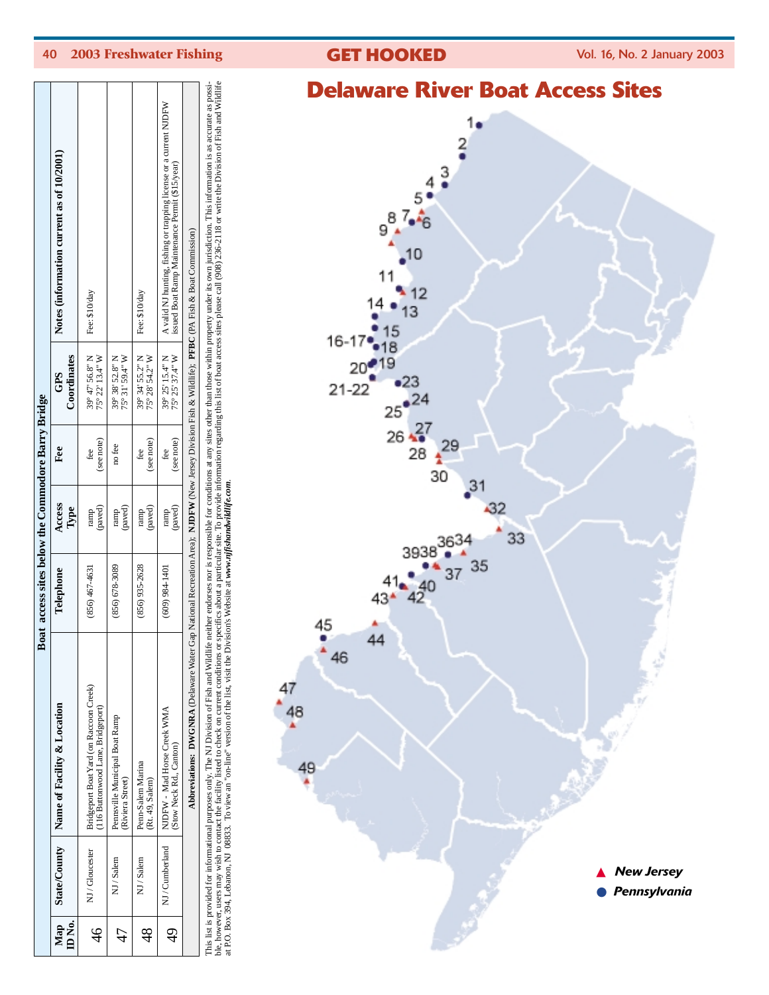| veid<br>GI<br>ACCESS SILES                                                                            |
|-------------------------------------------------------------------------------------------------------|
| 1.                                                                                                    |
| $\frac{2}{9}$                                                                                         |
| $94 3 4 3 5 4 3 5 6 7 6 5 6 7 6 7 7$                                                                  |
|                                                                                                       |
|                                                                                                       |
| $\bullet$ <sup>10</sup>                                                                               |
|                                                                                                       |
|                                                                                                       |
|                                                                                                       |
|                                                                                                       |
|                                                                                                       |
|                                                                                                       |
|                                                                                                       |
| 11<br>14 • 13<br>16-17 • 15<br>20 • 19<br>21-22<br>25 • 24<br>26 • 27<br>28 • 29<br>30<br>31<br>$-32$ |
| 33                                                                                                    |
| 3938 3634                                                                                             |
| $41 \cdot 40 \cdot 37 \cdot 35$<br>43* 42                                                             |
|                                                                                                       |
| $\frac{45}{46}$<br>44                                                                                 |
|                                                                                                       |
| 47<br>$^{48}$                                                                                         |
|                                                                                                       |
| 49                                                                                                    |
|                                                                                                       |
|                                                                                                       |
|                                                                                                       |
| <b>New Jersey</b><br>Pennsylvania                                                                     |
|                                                                                                       |
|                                                                                                       |

**Delaware River Boat Access Sites**



This list is provided for informational purposes only. The M1D Division of Fish and Wildlife neither endorses not is responsible for conditions at any sites other than those within property under its own jurisdiction. This ble, however, users may wish to contact the facility listed to check on current conditions or specifics about a particular site. To provide information regarding this list of boat access sites please call (908) 236-2118 or

at P.O. Box 394, Lebanon, NJ 08833. To view an "on-line" version of the list, visit the Division's Website at *www.njfishandwildlife.com*.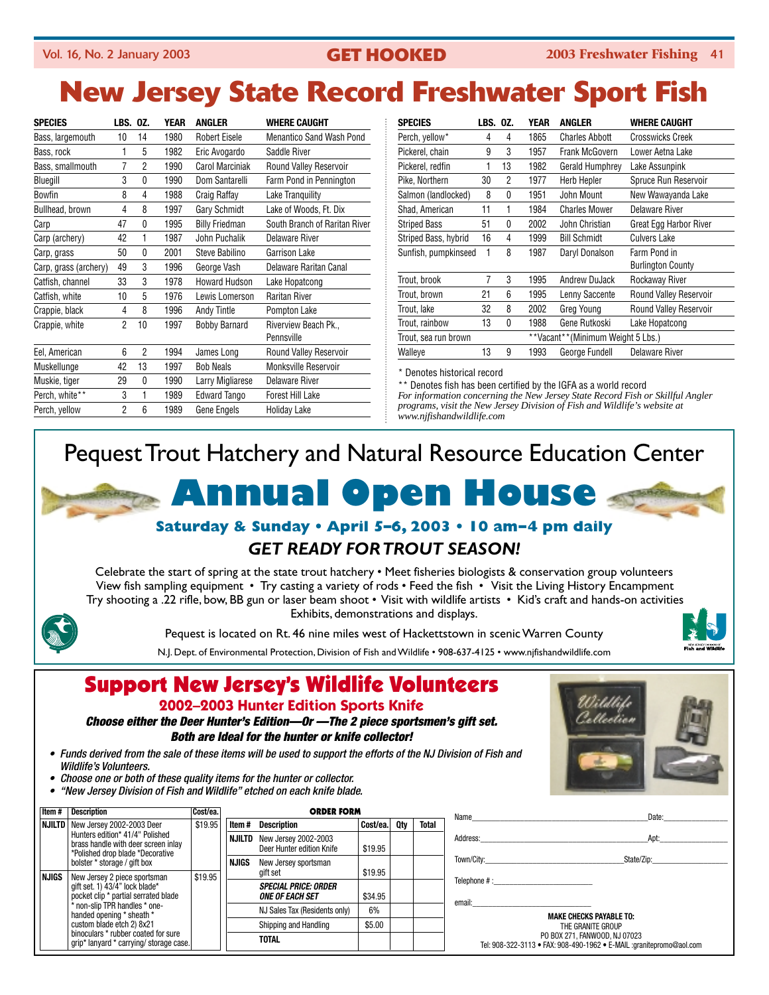## Vol. 16, No. 2 January 2003 **GET HOOKED 2003 Freshwater Fishing** 41

# **New Jersey State Record Freshwater Sport Fish**

| <b>SPECIES</b>        | <b>LBS. 0Z.</b> |    | <b>YEAR</b> | <b>ANGLER</b>          | <b>WHERE CAUGHT</b>                |
|-----------------------|-----------------|----|-------------|------------------------|------------------------------------|
| Bass, largemouth      | 10              | 14 | 1980        | <b>Robert Eisele</b>   | Menantico Sand Wash Pond           |
| Bass, rock            | 1               | 5  | 1982        | Eric Avogardo          | Saddle River                       |
| Bass, smallmouth      | 7               | 2  | 1990        | <b>Carol Marciniak</b> | Round Valley Reservoir             |
| Bluegill              | 3               | 0  | 1990        | Dom Santarelli         | Farm Pond in Pennington            |
| <b>Bowfin</b>         | 8               | 4  | 1988        | Craig Raffay           | Lake Tranguility                   |
| Bullhead, brown       | 4               | 8  | 1997        | Gary Schmidt           | Lake of Woods, Ft. Dix             |
| Carp                  | 47              | 0  | 1995        | <b>Billy Friedman</b>  | South Branch of Raritan River      |
| Carp (archery)        | 42              | 1  | 1987        | John Puchalik          | Delaware River                     |
| Carp, grass           | 50              | 0  | 2001        | Steve Babilino         | Garrison Lake                      |
| Carp, grass (archery) | 49              | 3  | 1996        | George Vash            | Delaware Raritan Canal             |
| Catfish, channel      | 33              | 3  | 1978        | <b>Howard Hudson</b>   | Lake Hopatcong                     |
| Catfish, white        | 10              | 5  | 1976        | Lewis Lomerson         | <b>Raritan River</b>               |
| Crappie, black        | 4               | 8  | 1996        | <b>Andy Tintle</b>     | Pompton Lake                       |
| Crappie, white        | 2               | 10 | 1997        | <b>Bobby Barnard</b>   | Riverview Beach Pk.,<br>Pennsville |
| Eel, American         | 6               | 2  | 1994        | James Long             | <b>Round Valley Reservoir</b>      |
| Muskellunge           | 42              | 13 | 1997        | <b>Bob Neals</b>       | <b>Monksville Reservoir</b>        |
| Muskie, tiger         | 29              | 0  | 1990        | Larry Migliarese       | <b>Delaware River</b>              |
| Perch, white**        | 3               | 1  | 1989        | <b>Edward Tango</b>    | <b>Forest Hill Lake</b>            |
| Perch, yellow         | 2               | 6  | 1989        | Gene Engels            | Holiday Lake                       |

|    |                      | <b>YEAR</b> | <b>ANGLER</b>         | <b>WHERE CAUGHT</b>               |
|----|----------------------|-------------|-----------------------|-----------------------------------|
| 4  | 4                    | 1865        | <b>Charles Abbott</b> | Crosswicks Creek                  |
| 9  | 3                    | 1957        | <b>Frank McGovern</b> | Lower Aetna Lake                  |
| 1  | 13                   | 1982        | Gerald Humphrey       | Lake Assunpink                    |
| 30 | 2                    | 1977        | <b>Herb Hepler</b>    | Spruce Run Reservoir              |
| 8  | $\mathbf{0}$         | 1951        | John Mount            | New Wawayanda Lake                |
| 11 | 1                    | 1984        | <b>Charles Mower</b>  | Delaware River                    |
| 51 | 0                    | 2002        | John Christian        | Great Egg Harbor River            |
| 16 | 4                    | 1999        | <b>Bill Schmidt</b>   | <b>Culvers Lake</b>               |
| 1  | 8                    | 1987        | Daryl Donalson        | Farm Pond in                      |
|    |                      |             |                       | <b>Burlington County</b>          |
| 7  | 3                    | 1995        | Andrew DuJack         | Rockaway River                    |
| 21 | 6                    | 1995        | Lenny Saccente        | <b>Round Valley Reservoir</b>     |
| 32 | 8                    | 2002        | Greg Young            | <b>Round Valley Reservoir</b>     |
| 13 | 0                    | 1988        | Gene Rutkoski         | Lake Hopatcong                    |
|    |                      |             |                       |                                   |
| 13 | 9                    | 1993        | George Fundell        | Delaware River                    |
|    | Sunfish, pumpkinseed | LBS. 0Z.    |                       | **Vacant**(Minimum Weight 5 Lbs.) |

\* Denotes historical record

\*\* Denotes fish has been certified by the IGFA as a world record *For information concerning the New Jersey State Record Fish or Skillful Angler programs, visit the New Jersey Division of Fish and Wildlife's website at www.njfishandwildlife.com* 

# Pequest Trout Hatchery and Natural Resource Education Center



## *GET READY FOR TROUT SEASON!*

Celebrate the start of spring at the state trout hatchery • Meet fisheries biologists & conservation group volunteers View fish sampling equipment • Try casting a variety of rods • Feed the fish • Visit the Living History Encampment Try shooting a .22 rifle, bow, BB gun or laser beam shoot • Visit with wildlife artists • Kid's craft and hands-on activities Exhibits, demonstrations and displays.

Pequest is located on Rt. 46 nine miles west of Hackettstown in scenic Warren County



N.J. Dept. of Environmental Protection, Division of Fish and Wildlife • 908-637-4125 • www.njfishandwildlife.com

# Support New Jersey's Wildlife Volunteers

**2002–2003 Hunter Edition Sports Knife**

*Choose either the Deer Hunter's Edition—Or —The 2 piece sportsmen's gift set. Both are Ideal for the hunter or knife collector!*

- *Funds derived from the sale of these items will be used to support the efforts of the NJ Division of Fish and Wildlife's Volunteers.*
- *Choose one or both of these quality items for the hunter or collector.*
- *"New Jersey Division of Fish and Wildlife" etched on each knife blade.*

| Item#                                                                  | <b>Description</b>                                                                                         | Cost/ea. |              | ORDER FORM                                                   |                       |        |              |  |  |  |  |  |  |  |  |  |  |  |  |  |  |  |  |                               |    |  |  |
|------------------------------------------------------------------------|------------------------------------------------------------------------------------------------------------|----------|--------------|--------------------------------------------------------------|-----------------------|--------|--------------|--|--|--|--|--|--|--|--|--|--|--|--|--|--|--|--|-------------------------------|----|--|--|
| <b>NJILTD</b>                                                          | New Jersey 2002-2003 Deer                                                                                  | \$19.95  | Item #       | <b>Description</b>                                           | Cost/ea.              | Qty    | <b>Total</b> |  |  |  |  |  |  |  |  |  |  |  |  |  |  |  |  |                               |    |  |  |
|                                                                        | Hunters edition* 41/4" Polished<br>brass handle with deer screen inlay<br>*Polished drop blade *Decorative |          | NJILTD       | New Jersey 2002-2003<br>Deer Hunter edition Knife            | \$19.95               |        |              |  |  |  |  |  |  |  |  |  |  |  |  |  |  |  |  |                               |    |  |  |
|                                                                        | bolster * storage / gift box                                                                               |          | <b>NJIGS</b> | New Jersey sportsman                                         |                       |        |              |  |  |  |  |  |  |  |  |  |  |  |  |  |  |  |  |                               |    |  |  |
| <b>NJIGS</b>                                                           | New Jersey 2 piece sportsman                                                                               | \$19.95  |              | gift set                                                     | \$19.95               |        |              |  |  |  |  |  |  |  |  |  |  |  |  |  |  |  |  |                               |    |  |  |
| gift set. 1) 43/4" lock blade*<br>pocket clip * partial serrated blade |                                                                                                            |          |              | <b>SPECIAL PRICE: ORDER</b><br><i><b>ONE OF EACH SET</b></i> | \$34.95               |        |              |  |  |  |  |  |  |  |  |  |  |  |  |  |  |  |  |                               |    |  |  |
|                                                                        | * non-slip TPR handles * one-<br>handed opening * sheath *                                                 |          |              |                                                              |                       |        |              |  |  |  |  |  |  |  |  |  |  |  |  |  |  |  |  | NJ Sales Tax (Residents only) | 6% |  |  |
|                                                                        | custom blade etch 2) 8x21                                                                                  |          |              |                                                              | Shipping and Handling | \$5.00 |              |  |  |  |  |  |  |  |  |  |  |  |  |  |  |  |  |                               |    |  |  |
|                                                                        | binoculars * rubber coated for sure<br>grip* lanyard * carrying/ storage case.                             |          |              | <b>TOTAL</b>                                                 |                       |        |              |  |  |  |  |  |  |  |  |  |  |  |  |  |  |  |  |                               |    |  |  |

| Wildlife<br>Cellection |  |
|------------------------|--|
|                        |  |

|                                               | Date:_______________           |
|-----------------------------------------------|--------------------------------|
|                                               |                                |
|                                               |                                |
| Telephone # :________________________________ |                                |
|                                               |                                |
|                                               | <b>MAKE CHECKS PAYABLE TO:</b> |
|                                               | THE GRANITE GROUP              |

THE GRANITE GROUP PO BOX 271, FANWOOD, NJ 07023 Tel: 908-322-3113 • FAX: 908-490-1962 • E-MAIL :granitepromo@aol.com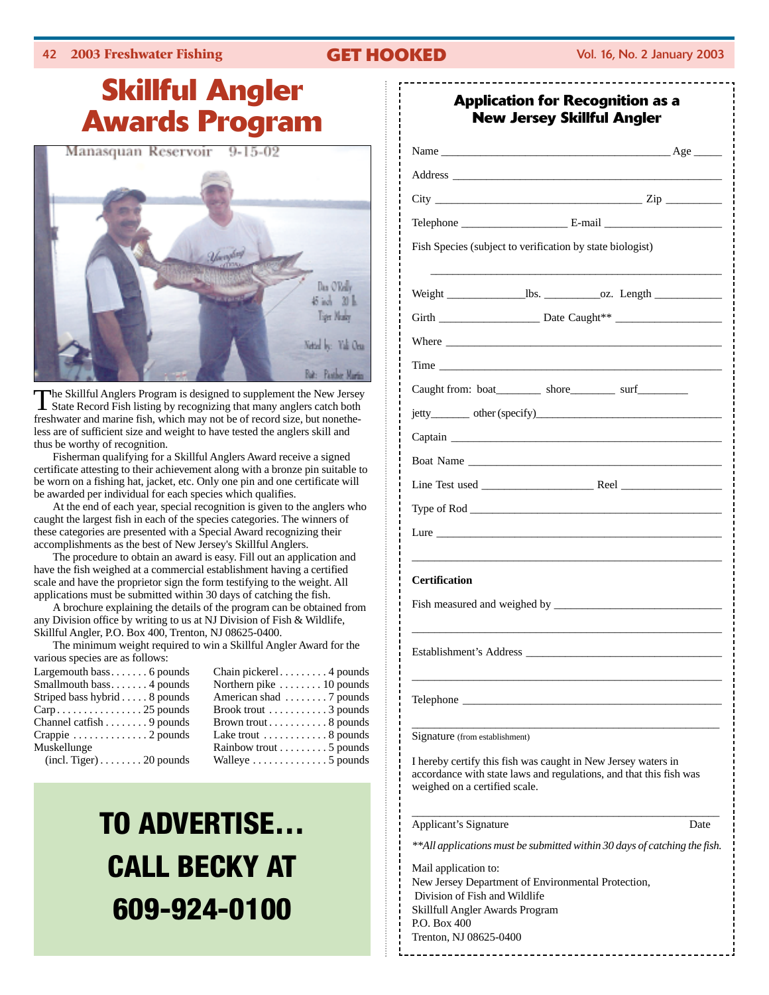## **Skillful Angler Awards Program** Manasquan Reservoir  $9 - 15 - 02$



The Skillful Anglers Program is designed to supplement the New Jersey State Record Fish listing by recognizing that many anglers catch both freshwater and marine fish, which may not be of record size, but nonetheless are of sufficient size and weight to have tested the anglers skill and thus be worthy of recognition.

Fisherman qualifying for a Skillful Anglers Award receive a signed certificate attesting to their achievement along with a bronze pin suitable to be worn on a fishing hat, jacket, etc. Only one pin and one certificate will be awarded per individual for each species which qualifies.

At the end of each year, special recognition is given to the anglers who caught the largest fish in each of the species categories. The winners of these categories are presented with a Special Award recognizing their accomplishments as the best of New Jersey's Skillful Anglers.

The procedure to obtain an award is easy. Fill out an application and have the fish weighed at a commercial establishment having a certified scale and have the proprietor sign the form testifying to the weight. All applications must be submitted within 30 days of catching the fish.

A brochure explaining the details of the program can be obtained from any Division office by writing to us at NJ Division of Fish & Wildlife, Skillful Angler, P.O. Box 400, Trenton, NJ 08625-0400.

The minimum weight required to win a Skillful Angler Award for the various species are as follows:

| Largemouth bass 6 pounds                             | Chain pickerel 4 pounds                       |
|------------------------------------------------------|-----------------------------------------------|
| Smallmouth bass4 pounds                              | Northern pike $\dots \dots 10$ pounds         |
| Striped bass hybrid $\ldots$ . 8 pounds              | American shad $\dots \dots$ 7 pounds          |
| $Carp. \ldots \ldots \ldots \ldots \ldots 25$ pounds | Brook trout $\dots \dots \dots 3$ pounds      |
| Channel catfish $\ldots \ldots$ . 9 pounds           | Brown trout $\dots \dots \dots 8$ pounds      |
| Crappie $\dots\dots\dots\dots2$ pounds               | Lake trout $\dots \dots \dots \dots 8$ pounds |
| Muskellunge                                          | Rainbow trout $\dots \dots \dots 5$ pounds    |
| $(incl. Tiger) \ldots \ldots 20$ pounds              | Walleye $\dots\dots\dots\dots\dots$ 5 pounds  |

# **TO ADVERTISE… CALL BECKY AT 609-924-0100**

| <b>Application for Recognition as a</b><br><b>New Jersey Skillful Angler</b>                                                                                                                                                  |
|-------------------------------------------------------------------------------------------------------------------------------------------------------------------------------------------------------------------------------|
|                                                                                                                                                                                                                               |
|                                                                                                                                                                                                                               |
|                                                                                                                                                                                                                               |
|                                                                                                                                                                                                                               |
| Fish Species (subject to verification by state biologist)                                                                                                                                                                     |
|                                                                                                                                                                                                                               |
|                                                                                                                                                                                                                               |
|                                                                                                                                                                                                                               |
| Time Time                                                                                                                                                                                                                     |
| Caught from: boat____________ shore____________ surf____________                                                                                                                                                              |
|                                                                                                                                                                                                                               |
|                                                                                                                                                                                                                               |
|                                                                                                                                                                                                                               |
|                                                                                                                                                                                                                               |
| Type of Rod                                                                                                                                                                                                                   |
| Lure that the contract of the contract of the contract of the contract of the contract of the contract of the contract of the contract of the contract of the contract of the contract of the contract of the contract of the |
| <b>Certification</b>                                                                                                                                                                                                          |
| Establishment's Address                                                                                                                                                                                                       |
| Telephone _                                                                                                                                                                                                                   |
| Signature (from establishment)                                                                                                                                                                                                |
| I hereby certify this fish was caught in New Jersey waters in<br>accordance with state laws and regulations, and that this fish was<br>weighed on a certified scale.                                                          |
| Applicant's Signature<br>Date                                                                                                                                                                                                 |
| **All applications must be submitted within 30 days of catching the fish.                                                                                                                                                     |
| Mail application to:<br>New Jersey Department of Environmental Protection,<br>Division of Fish and Wildlife<br>Skillfull Angler Awards Program                                                                                |
| P.O. Box 400<br>Trenton, NJ 08625-0400                                                                                                                                                                                        |